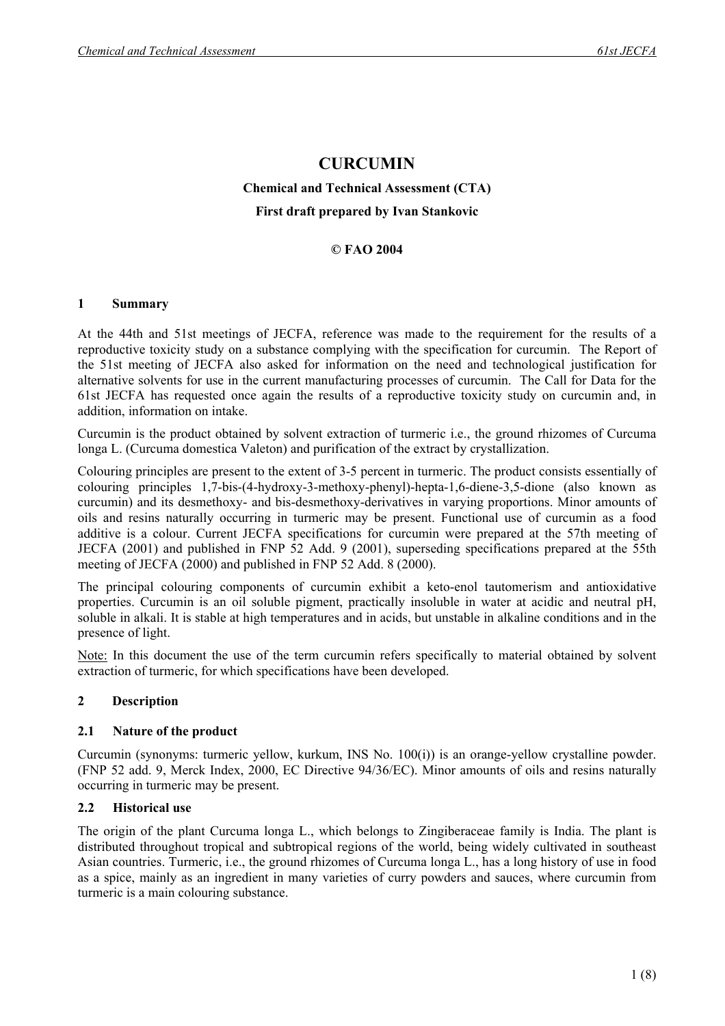# **CURCUMIN**

# **Chemical and Technical Assessment (CTA) First draft prepared by Ivan Stankovic**

## **© FAO 2004**

#### **1 Summary**

At the 44th and 51st meetings of JECFA, reference was made to the requirement for the results of a reproductive toxicity study on a substance complying with the specification for curcumin. The Report of the 51st meeting of JECFA also asked for information on the need and technological justification for alternative solvents for use in the current manufacturing processes of curcumin. The Call for Data for the 61st JECFA has requested once again the results of a reproductive toxicity study on curcumin and, in addition, information on intake.

Curcumin is the product obtained by solvent extraction of turmeric i.e., the ground rhizomes of Curcuma longa L. (Curcuma domestica Valeton) and purification of the extract by crystallization.

Colouring principles are present to the extent of 3-5 percent in turmeric. The product consists essentially of colouring principles 1,7-bis-(4-hydroxy-3-methoxy-phenyl)-hepta-1,6-diene-3,5-dione (also known as curcumin) and its desmethoxy- and bis-desmethoxy-derivatives in varying proportions. Minor amounts of oils and resins naturally occurring in turmeric may be present. Functional use of curcumin as a food additive is a colour. Current JECFA specifications for curcumin were prepared at the 57th meeting of JECFA (2001) and published in FNP 52 Add. 9 (2001), superseding specifications prepared at the 55th meeting of JECFA (2000) and published in FNP 52 Add. 8 (2000).

The principal colouring components of curcumin exhibit a keto-enol tautomerism and antioxidative properties. Curcumin is an oil soluble pigment, practically insoluble in water at acidic and neutral pH, soluble in alkali. It is stable at high temperatures and in acids, but unstable in alkaline conditions and in the presence of light.

Note: In this document the use of the term curcumin refers specifically to material obtained by solvent extraction of turmeric, for which specifications have been developed.

# **2 Description**

#### **2.1 Nature of the product**

Curcumin (synonyms: turmeric yellow, kurkum, INS No. 100(i)) is an orange-yellow crystalline powder. (FNP 52 add. 9, Merck Index, 2000, EC Directive 94/36/EC). Minor amounts of oils and resins naturally occurring in turmeric may be present.

#### **2.2 Historical use**

The origin of the plant Curcuma longa L., which belongs to Zingiberaceae family is India. The plant is distributed throughout tropical and subtropical regions of the world, being widely cultivated in southeast Asian countries. Turmeric, i.e., the ground rhizomes of Curcuma longa L., has a long history of use in food as a spice, mainly as an ingredient in many varieties of curry powders and sauces, where curcumin from turmeric is a main colouring substance.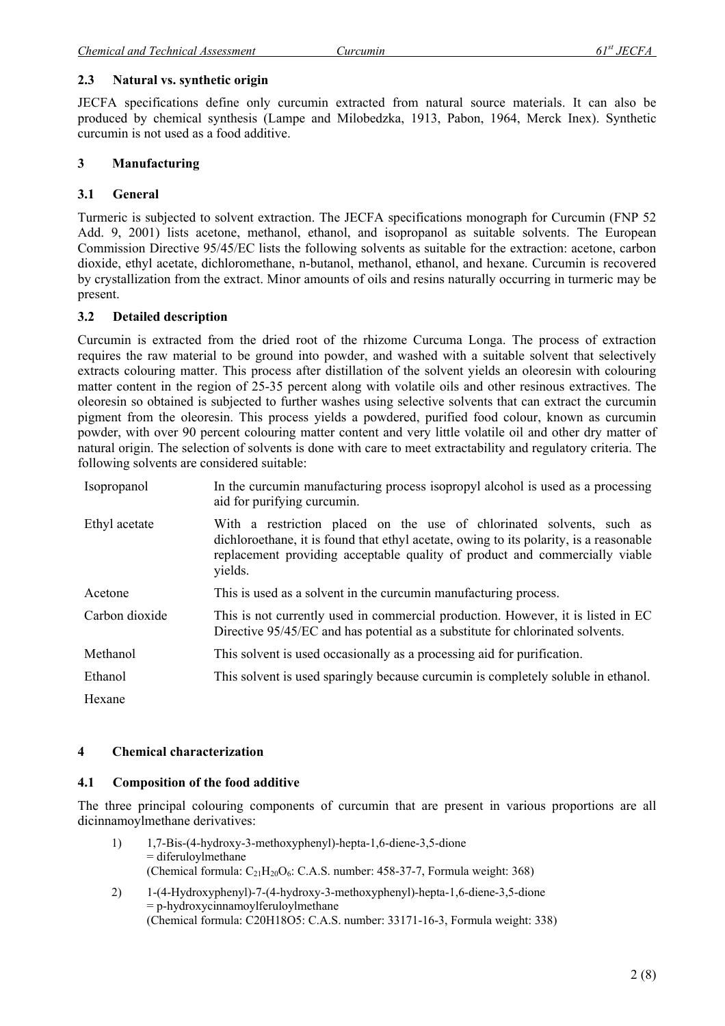## **2.3 Natural vs. synthetic origin**

JECFA specifications define only curcumin extracted from natural source materials. It can also be produced by chemical synthesis (Lampe and Milobedzka, 1913, Pabon, 1964, Merck Inex). Synthetic curcumin is not used as a food additive.

## **3 Manufacturing**

# **3.1 General**

Turmeric is subjected to solvent extraction. The JECFA specifications monograph for Curcumin (FNP 52 Add. 9, 2001) lists acetone, methanol, ethanol, and isopropanol as suitable solvents. The European Commission Directive 95/45/EC lists the following solvents as suitable for the extraction: acetone, carbon dioxide, ethyl acetate, dichloromethane, n-butanol, methanol, ethanol, and hexane. Curcumin is recovered by crystallization from the extract. Minor amounts of oils and resins naturally occurring in turmeric may be present.

## **3.2 Detailed description**

Curcumin is extracted from the dried root of the rhizome Curcuma Longa. The process of extraction requires the raw material to be ground into powder, and washed with a suitable solvent that selectively extracts colouring matter. This process after distillation of the solvent yields an oleoresin with colouring matter content in the region of 25-35 percent along with volatile oils and other resinous extractives. The oleoresin so obtained is subjected to further washes using selective solvents that can extract the curcumin pigment from the oleoresin. This process yields a powdered, purified food colour, known as curcumin powder, with over 90 percent colouring matter content and very little volatile oil and other dry matter of natural origin. The selection of solvents is done with care to meet extractability and regulatory criteria. The following solvents are considered suitable:

| Isopropanol    | In the curcumin manufacturing process isopropyl alcohol is used as a processing<br>aid for purifying curcumin.                                                                                                                                            |
|----------------|-----------------------------------------------------------------------------------------------------------------------------------------------------------------------------------------------------------------------------------------------------------|
| Ethyl acetate  | With a restriction placed on the use of chlorinated solvents, such as<br>dichloroethane, it is found that ethyl acetate, owing to its polarity, is a reasonable<br>replacement providing acceptable quality of product and commercially viable<br>yields. |
| Acetone        | This is used as a solvent in the curcumin manufacturing process.                                                                                                                                                                                          |
| Carbon dioxide | This is not currently used in commercial production. However, it is listed in EC<br>Directive 95/45/EC and has potential as a substitute for chlorinated solvents.                                                                                        |
| Methanol       | This solvent is used occasionally as a processing aid for purification.                                                                                                                                                                                   |
| Ethanol        | This solvent is used sparingly because curcumin is completely soluble in ethanol.                                                                                                                                                                         |
| Hexane         |                                                                                                                                                                                                                                                           |

#### **4 Chemical characterization**

# **4.1 Composition of the food additive**

The three principal colouring components of curcumin that are present in various proportions are all dicinnamoylmethane derivatives:

- 1) 1,7-Bis-(4-hydroxy-3-methoxyphenyl)-hepta-1,6-diene-3,5-dione = diferuloylmethane (Chemical formula:  $C_{21}H_{20}O_6$ : C.A.S. number: 458-37-7, Formula weight: 368)
- 2) 1-(4-Hydroxyphenyl)-7-(4-hydroxy-3-methoxyphenyl)-hepta-1,6-diene-3,5-dione = p-hydroxycinnamoylferuloylmethane (Chemical formula: C20H18O5: C.A.S. number: 33171-16-3, Formula weight: 338)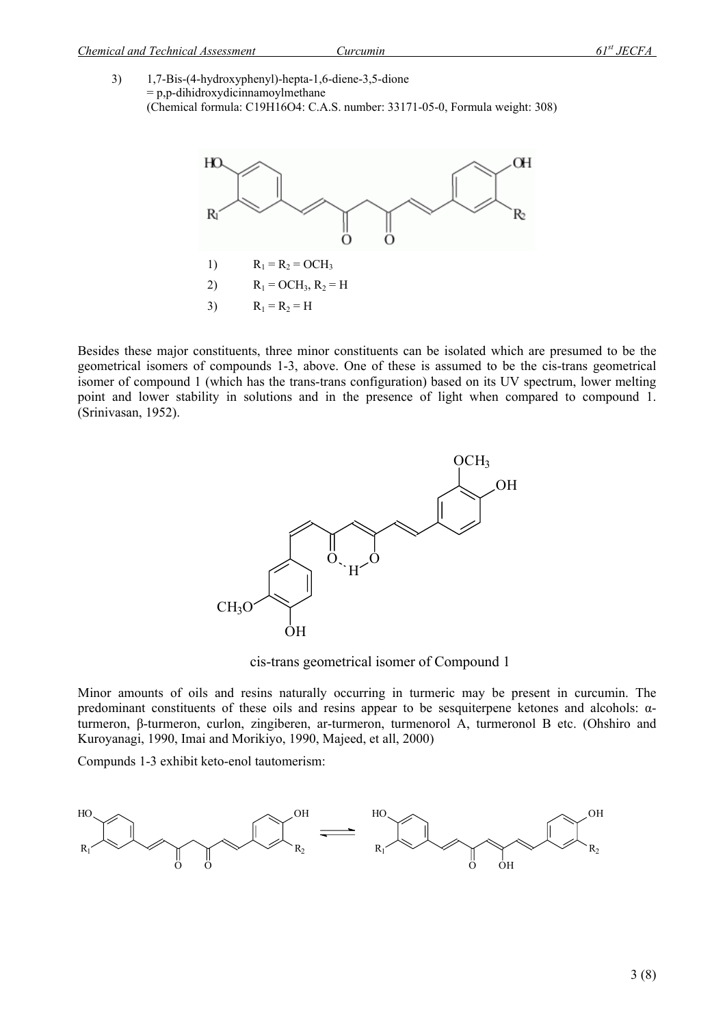3) 1,7-Bis-(4-hydroxyphenyl)-hepta-1,6-diene-3,5-dione  $= p.p$ -dihidroxydicinnamoylmethane (Chemical formula: C19H16O4: C.A.S. number: 33171-05-0, Formula weight: 308)



Besides these major constituents, three minor constituents can be isolated which are presumed to be the geometrical isomers of compounds 1-3, above. One of these is assumed to be the cis-trans geometrical isomer of compound 1 (which has the trans-trans configuration) based on its UV spectrum, lower melting point and lower stability in solutions and in the presence of light when compared to compound 1. (Srinivasan, 1952).



cis-trans geometrical isomer of Compound 1

Minor amounts of oils and resins naturally occurring in turmeric may be present in curcumin. The predominant constituents of these oils and resins appear to be sesquiterpene ketones and alcohols: αturmeron, β-turmeron, curlon, zingiberen, ar-turmeron, turmenorol A, turmeronol B etc. (Ohshiro and Kuroyanagi, 1990, Imai and Morikiyo, 1990, Majeed, et all, 2000)

Compunds 1-3 exhibit keto-enol tautomerism:

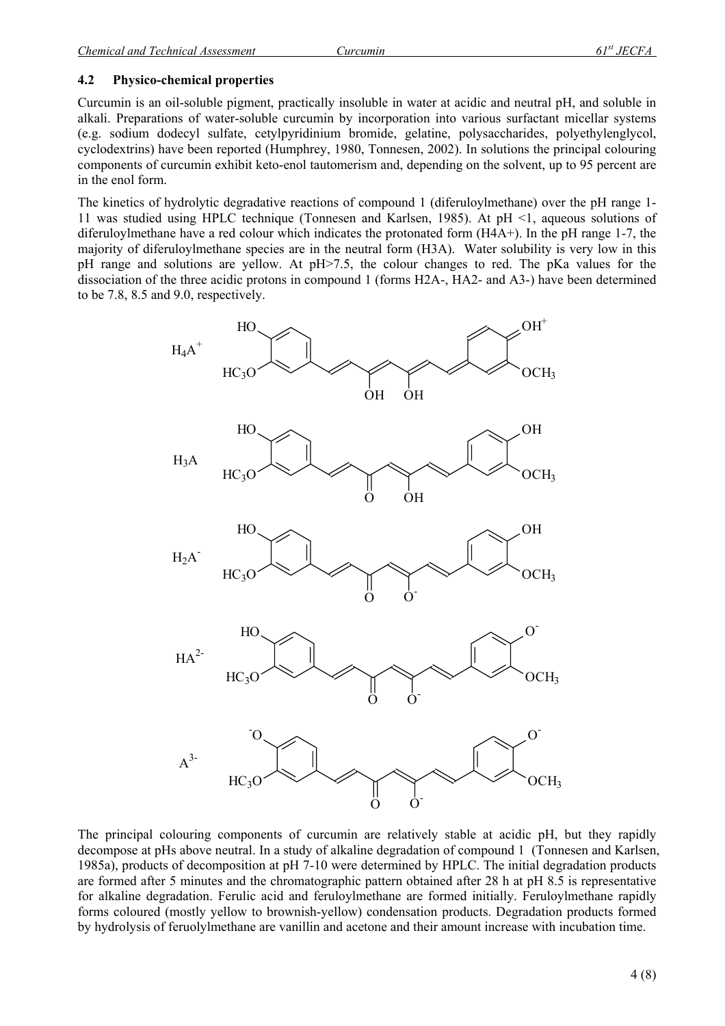## **4.2 Physico-chemical properties**

Curcumin is an oil-soluble pigment, practically insoluble in water at acidic and neutral pH, and soluble in alkali. Preparations of water-soluble curcumin by incorporation into various surfactant micellar systems (e.g. sodium dodecyl sulfate, cetylpyridinium bromide, gelatine, polysaccharides, polyethylenglycol, cyclodextrins) have been reported (Humphrey, 1980, Tonnesen, 2002). In solutions the principal colouring components of curcumin exhibit keto-enol tautomerism and, depending on the solvent, up to 95 percent are in the enol form.

The kinetics of hydrolytic degradative reactions of compound 1 (diferuloylmethane) over the pH range 1- 11 was studied using HPLC technique (Tonnesen and Karlsen, 1985). At pH <1, aqueous solutions of diferuloylmethane have a red colour which indicates the protonated form (H4A+). In the pH range 1-7, the majority of diferuloylmethane species are in the neutral form (H3A). Water solubility is very low in this pH range and solutions are yellow. At pH>7.5, the colour changes to red. The pKa values for the dissociation of the three acidic protons in compound 1 (forms H2A-, HA2- and A3-) have been determined to be 7.8, 8.5 and 9.0, respectively.



The principal colouring components of curcumin are relatively stable at acidic pH, but they rapidly decompose at pHs above neutral. In a study of alkaline degradation of compound 1 (Tonnesen and Karlsen, 1985a), products of decomposition at pH 7-10 were determined by HPLC. The initial degradation products are formed after 5 minutes and the chromatographic pattern obtained after 28 h at pH 8.5 is representative for alkaline degradation. Ferulic acid and feruloylmethane are formed initially. Feruloylmethane rapidly forms coloured (mostly yellow to brownish-yellow) condensation products. Degradation products formed by hydrolysis of feruolylmethane are vanillin and acetone and their amount increase with incubation time.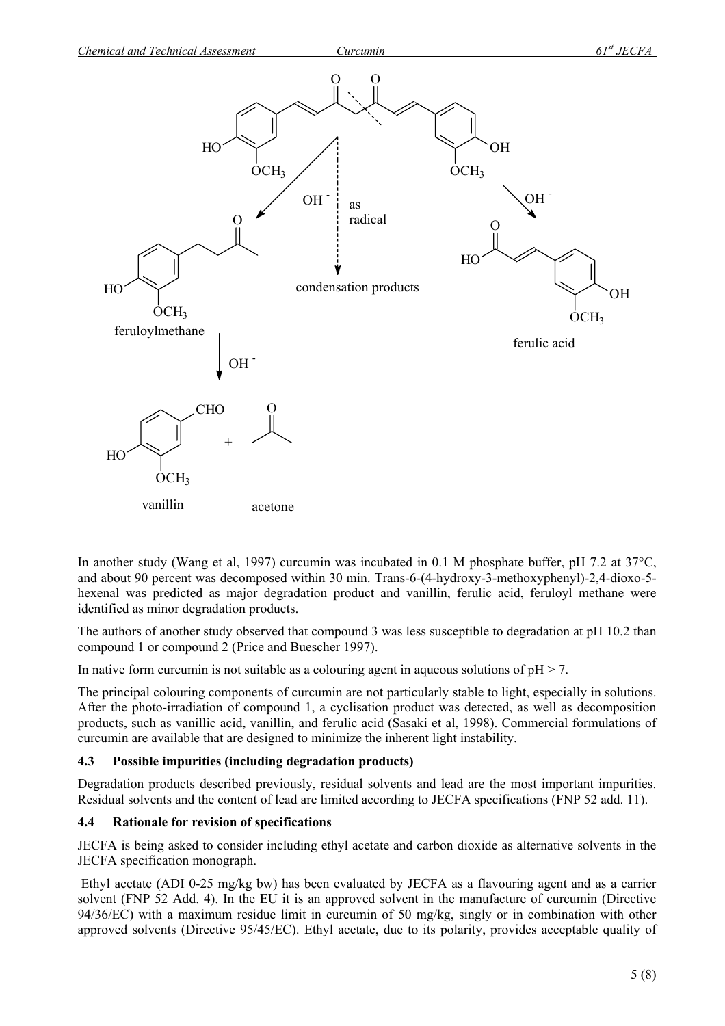

In another study (Wang et al, 1997) curcumin was incubated in 0.1 M phosphate buffer, pH 7.2 at 37°C, and about 90 percent was decomposed within 30 min. Trans-6-(4-hydroxy-3-methoxyphenyl)-2,4-dioxo-5 hexenal was predicted as major degradation product and vanillin, ferulic acid, feruloyl methane were identified as minor degradation products.

The authors of another study observed that compound 3 was less susceptible to degradation at pH 10.2 than compound 1 or compound 2 (Price and Buescher 1997).

In native form curcumin is not suitable as a colouring agent in aqueous solutions of  $pH > 7$ .

The principal colouring components of curcumin are not particularly stable to light, especially in solutions. After the photo-irradiation of compound 1, a cyclisation product was detected, as well as decomposition products, such as vanillic acid, vanillin, and ferulic acid (Sasaki et al, 1998). Commercial formulations of curcumin are available that are designed to minimize the inherent light instability.

# **4.3 Possible impurities (including degradation products)**

Degradation products described previously, residual solvents and lead are the most important impurities. Residual solvents and the content of lead are limited according to JECFA specifications (FNP 52 add. 11).

#### **4.4 Rationale for revision of specifications**

JECFA is being asked to consider including ethyl acetate and carbon dioxide as alternative solvents in the JECFA specification monograph.

 Ethyl acetate (ADI 0-25 mg/kg bw) has been evaluated by JECFA as a flavouring agent and as a carrier solvent (FNP 52 Add. 4). In the EU it is an approved solvent in the manufacture of curcumin (Directive 94/36/EC) with a maximum residue limit in curcumin of 50 mg/kg, singly or in combination with other approved solvents (Directive 95/45/EC). Ethyl acetate, due to its polarity, provides acceptable quality of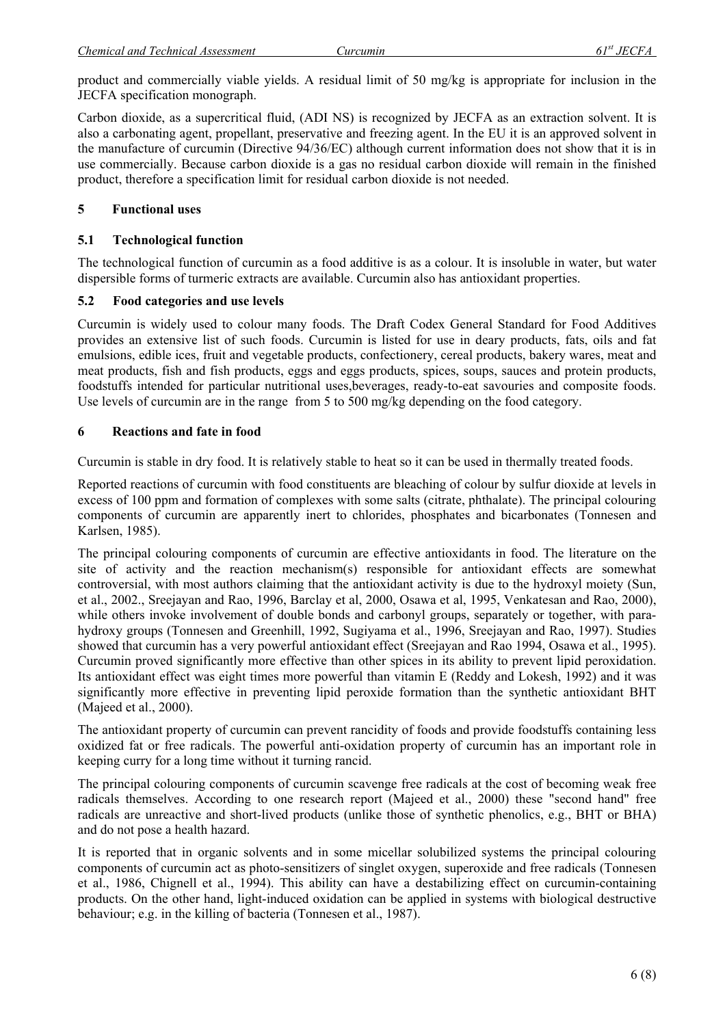product and commercially viable yields. A residual limit of 50 mg/kg is appropriate for inclusion in the JECFA specification monograph.

Carbon dioxide, as a supercritical fluid, (ADI NS) is recognized by JECFA as an extraction solvent. It is also a carbonating agent, propellant, preservative and freezing agent. In the EU it is an approved solvent in the manufacture of curcumin (Directive 94/36/EC) although current information does not show that it is in use commercially. Because carbon dioxide is a gas no residual carbon dioxide will remain in the finished product, therefore a specification limit for residual carbon dioxide is not needed.

## **5 Functional uses**

## **5.1 Technological function**

The technological function of curcumin as a food additive is as a colour. It is insoluble in water, but water dispersible forms of turmeric extracts are available. Curcumin also has antioxidant properties.

## **5.2 Food categories and use levels**

Curcumin is widely used to colour many foods. The Draft Codex General Standard for Food Additives provides an extensive list of such foods. Curcumin is listed for use in deary products, fats, oils and fat emulsions, edible ices, fruit and vegetable products, confectionery, cereal products, bakery wares, meat and meat products, fish and fish products, eggs and eggs products, spices, soups, sauces and protein products, foodstuffs intended for particular nutritional uses,beverages, ready-to-eat savouries and composite foods. Use levels of curcumin are in the range from 5 to 500 mg/kg depending on the food category.

## **6 Reactions and fate in food**

Curcumin is stable in dry food. It is relatively stable to heat so it can be used in thermally treated foods.

Reported reactions of curcumin with food constituents are bleaching of colour by sulfur dioxide at levels in excess of 100 ppm and formation of complexes with some salts (citrate, phthalate). The principal colouring components of curcumin are apparently inert to chlorides, phosphates and bicarbonates (Tonnesen and Karlsen, 1985).

The principal colouring components of curcumin are effective antioxidants in food. The literature on the site of activity and the reaction mechanism(s) responsible for antioxidant effects are somewhat controversial, with most authors claiming that the antioxidant activity is due to the hydroxyl moiety (Sun, et al., 2002., Sreejayan and Rao, 1996, Barclay et al, 2000, Osawa et al, 1995, Venkatesan and Rao, 2000), while others invoke involvement of double bonds and carbonyl groups, separately or together, with parahydroxy groups (Tonnesen and Greenhill, 1992, Sugiyama et al., 1996, Sreejayan and Rao, 1997). Studies showed that curcumin has a very powerful antioxidant effect (Sreejayan and Rao 1994, Osawa et al., 1995). Curcumin proved significantly more effective than other spices in its ability to prevent lipid peroxidation. Its antioxidant effect was eight times more powerful than vitamin E (Reddy and Lokesh, 1992) and it was significantly more effective in preventing lipid peroxide formation than the synthetic antioxidant BHT (Majeed et al., 2000).

The antioxidant property of curcumin can prevent rancidity of foods and provide foodstuffs containing less oxidized fat or free radicals. The powerful anti-oxidation property of curcumin has an important role in keeping curry for a long time without it turning rancid.

The principal colouring components of curcumin scavenge free radicals at the cost of becoming weak free radicals themselves. According to one research report (Majeed et al., 2000) these "second hand" free radicals are unreactive and short-lived products (unlike those of synthetic phenolics, e.g., BHT or BHA) and do not pose a health hazard.

It is reported that in organic solvents and in some micellar solubilized systems the principal colouring components of curcumin act as photo-sensitizers of singlet oxygen, superoxide and free radicals (Tonnesen et al., 1986, Chignell et al., 1994). This ability can have a destabilizing effect on curcumin-containing products. On the other hand, light-induced oxidation can be applied in systems with biological destructive behaviour; e.g. in the killing of bacteria (Tonnesen et al., 1987).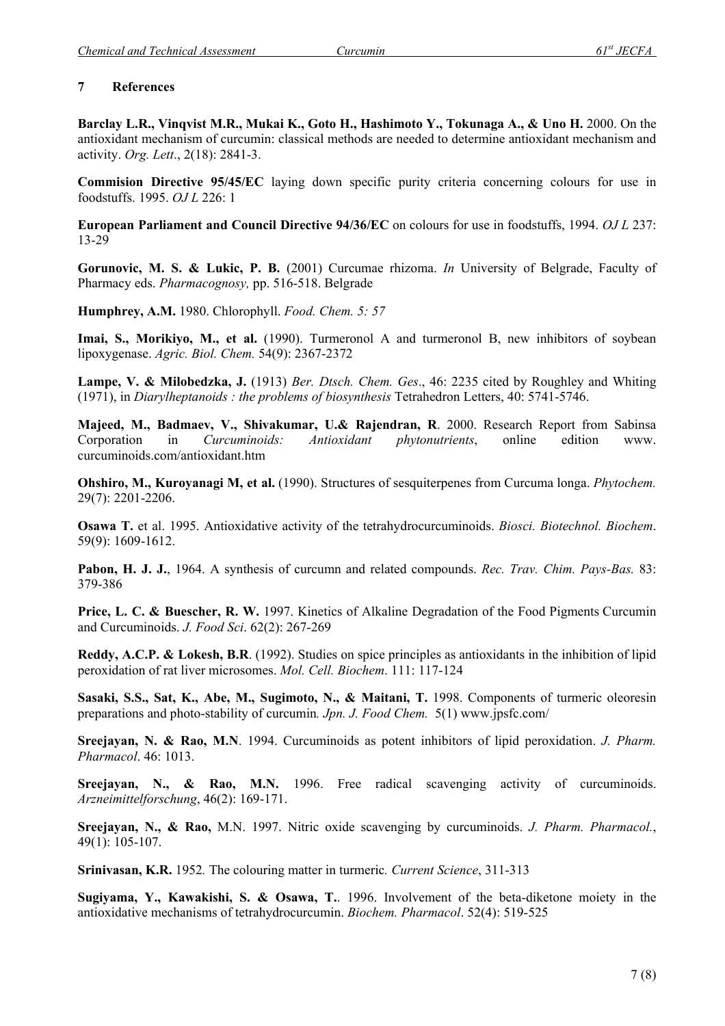## **7 References**

Barclay L.R., Vinqvist M.R., Mukai K., Goto H., Hashimoto Y., Tokunaga A., & Uno H. 2000. On the antioxidant mechanism of curcumin: classical methods are needed to determine antioxidant mechanism and activity. *Org. Lett*., 2(18): 2841-3.

**Commision Directive 95/45/EC** laying down specific purity criteria concerning colours for use in foodstuffs. 1995. *OJ L* 226: 1

**European Parliament and Council Directive 94/36/EC** on colours for use in foodstuffs, 1994. *OJ L* 237: 13-29

**Gorunovic, M. S. & Lukic, P. B.** (2001) Curcumae rhizoma. *In* University of Belgrade, Faculty of Pharmacy eds. *Pharmacognosy,* pp. 516-518. Belgrade

**Humphrey, A.M.** 1980. Chlorophyll. *Food. Chem. 5: 57*

Imai, S., Morikiyo, M., et al. (1990). Turmeronol A and turmeronol B, new inhibitors of soybean lipoxygenase. *Agric. Biol. Chem.* 54(9): 2367-2372

**Lampe, V. & Milobedzka, J.** (1913) *Ber. Dtsch. Chem. Ges*., 46: 2235 cited by Roughley and Whiting (1971), in *Diarylheptanoids : the problems of biosynthesis* Tetrahedron Letters, 40: 5741-5746.

**Majeed, M., Badmaev, V., Shivakumar, U.& Rajendran, R**. 2000. Research Report from Sabinsa Corporation in *Curcuminoids: Antioxidant phytonutrients*, online edition www. curcuminoids.com/antioxidant.htm

**Ohshiro, M., Kuroyanagi M, et al.** (1990). Structures of sesquiterpenes from Curcuma longa. *Phytochem.* 29(7): 2201-2206.

**Osawa T.** et al. 1995. Antioxidative activity of the tetrahydrocurcuminoids. *Biosci. Biotechnol. Biochem*. 59(9): 1609-1612.

**Pabon, H. J. J.**, 1964. A synthesis of curcumn and related compounds. *Rec. Trav. Chim. Pays-Bas.* 83: 379-386

**Price, L. C. & Buescher, R. W.** 1997. Kinetics of Alkaline Degradation of the Food Pigments Curcumin and Curcuminoids. *J. Food Sci*. 62(2): 267-269

**Reddy, A.C.P. & Lokesh, B.R**. (1992). Studies on spice principles as antioxidants in the inhibition of lipid peroxidation of rat liver microsomes. *Mol. Cell. Biochem*. 111: 117-124

**Sasaki, S.S., Sat, K., Abe, M., Sugimoto, N., & Maitani, T.** 1998. Components of turmeric oleoresin preparations and photo-stability of curcumin*. Jpn. J. Food Chem.* 5(1) www.jpsfc.com/

**Sreejayan, N. & Rao, M.N**. 1994. Curcuminoids as potent inhibitors of lipid peroxidation. *J. Pharm. Pharmacol*. 46: 1013.

**Sreejayan, N., & Rao, M.N.** 1996. Free radical scavenging activity of curcuminoids. *Arzneimittelforschung*, 46(2): 169-171.

**Sreejayan, N., & Rao,** M.N. 1997. Nitric oxide scavenging by curcuminoids. *J. Pharm. Pharmacol.*, 49(1): 105-107.

**Srinivasan, K.R.** 1952*.* The colouring matter in turmeric*. Current Science*, 311-313

**Sugiyama, Y., Kawakishi, S. & Osawa, T.**. 1996. Involvement of the beta-diketone moiety in the antioxidative mechanisms of tetrahydrocurcumin. *Biochem. Pharmacol*. 52(4): 519-525